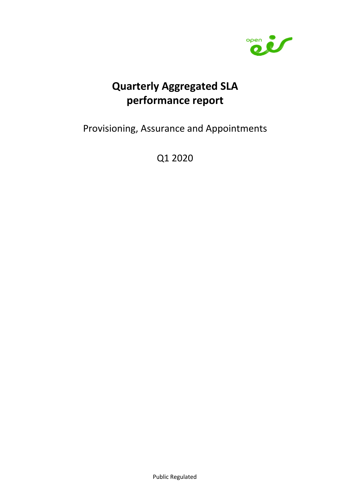

# Quarterly Aggregated SLA performance report

Provisioning, Assurance and Appointments

Q1 2020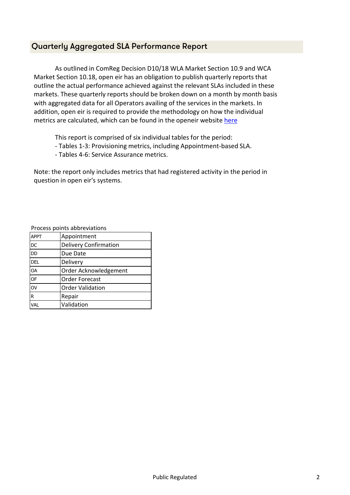#### Quarterly Aggregated SLA Performance Report

As outlined in ComReg Decision D10/18 WLA Market Section 10.9 and WCA Market Section 10.18, open eir has an obligation to publish quarterly reports that outline the actual performance achieved against the relevant SLAs included in these markets. These quarterly reports should be broken down on a month by month basis with aggregated data for all Operators availing of the services in the markets. In addition, open eir is required to provide the methodology on how the individual metrics are calculated, which can be found in the openeir website here

This report is comprised of six individual tables for the period:

- Tables 1-3: Provisioning metrics, including Appointment-based SLA.
- Tables 4-6: Service Assurance metrics.

Note: the report only includes metrics that had registered activity in the period in question in open eir's systems.

Process points abbreviations

| <b>APPT</b>     | Appointment                  |
|-----------------|------------------------------|
| <b>DC</b>       | <b>Delivery Confirmation</b> |
| <b>DD</b>       | Due Date                     |
| <b>DEL</b>      | Delivery                     |
| <b>OA</b>       | Order Acknowledgement        |
| <b>OF</b>       | Order Forecast               |
| $\overline{O}V$ | <b>Order Validation</b>      |
| R               | Repair                       |
| VAL             | Validation                   |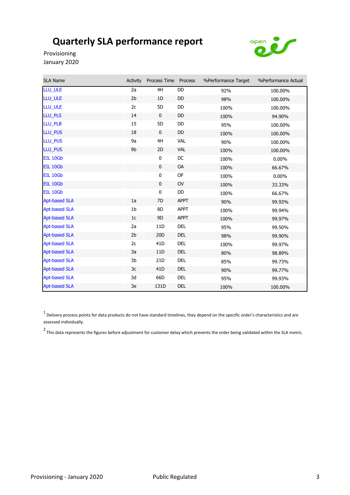

Provisioning January 2020

| SLA Name             | Activity       | Process Time Process |             | %Performance Target | %Performance Actual |
|----------------------|----------------|----------------------|-------------|---------------------|---------------------|
| LLU_ULE              | 2a             | 4H                   | DD          | 92%                 | 100.00%             |
| LLU_ULE              | 2 <sub>b</sub> | 1D                   | DD          | 98%                 | 100.00%             |
| LLU ULE              | 2c             | 5D                   | DD          | 100%                | 100.00%             |
| LLU_PLS              | 14             | $\mathbf 0$          | DD          | 100%                | 94.90%              |
| LLU_PLB              | 15             | 5D                   | DD          | 95%                 | 100.00%             |
| LLU_PUS              | 18             | 0                    | DD          | 100%                | 100.00%             |
| LLU_PUS              | 9a             | 4H                   | VAL         | 90%                 | 100.00%             |
| <b>LLU PUS</b>       | 9b             | 2D                   | VAL         | 100%                | 100.00%             |
| EIL 10Gb             |                | 0                    | DC          | 100%                | $0.00\%$            |
| EIL 10Gb             |                | $\mathbf 0$          | OA          | 100%                | 66.67%              |
| EIL 10Gb             |                | 0                    | OF          | 100%                | $0.00\%$            |
| EIL 10Gb             |                | $\mathbf 0$          | OV          | 100%                | 33.33%              |
| EIL 10Gb             |                | $\pmb{0}$            | DD          | 100%                | 66.67%              |
| <b>Apt-based SLA</b> | 1a             | 7D                   | <b>APPT</b> | 90%                 | 99.93%              |
| <b>Apt-based SLA</b> | 1 <sub>b</sub> | 8D                   | <b>APPT</b> | 100%                | 99.94%              |
| <b>Apt-based SLA</b> | 1 <sub>c</sub> | 9D                   | APPT        | 100%                | 99.97%              |
| <b>Apt-based SLA</b> | 2a             | 11D                  | DEL         | 95%                 | 99.50%              |
| <b>Apt-based SLA</b> | 2 <sub>b</sub> | 20 <sub>D</sub>      | <b>DEL</b>  | 98%                 | 99.90%              |
| <b>Apt-based SLA</b> | 2c             | 41 <sub>D</sub>      | <b>DEL</b>  | 100%                | 99.97%              |
| <b>Apt-based SLA</b> | 3a             | 11D                  | <b>DEL</b>  | 80%                 | 98.89%              |
| <b>Apt-based SLA</b> | 3b             | 21D                  | DEL         | 85%                 | 99.73%              |
| <b>Apt-based SLA</b> | 3c             | 41D                  | DEL         | 90%                 | 99.77%              |
| <b>Apt-based SLA</b> | 3d             | 66D                  | DEL         | 95%                 | 99.93%              |
| <b>Apt-based SLA</b> | 3e             | 131D                 | DEL         | 100%                | 100.00%             |

 $^1$  Delivery process points for data products do not have standard timelines, they depend on the specific order's characteristics and are assessed individually.

2 This data represents the figures before adjustment for customer delay which prevents the order being validated within the SLA metric.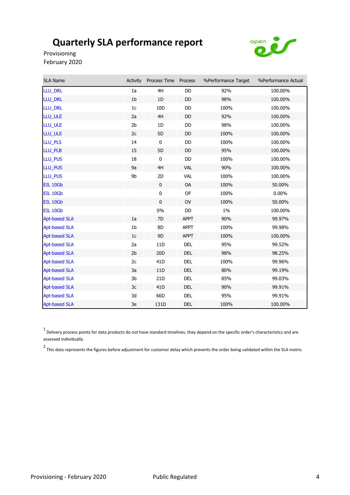

Provisioning February 2020

| <b>SLA Name</b>      | Activity       | Process Time Process |             | %Performance Target | %Performance Actual |
|----------------------|----------------|----------------------|-------------|---------------------|---------------------|
| LLU_DRL              | 1a             | 4H                   | <b>DD</b>   | 92%                 | 100.00%             |
| LLU_DRL              | 1 <sub>b</sub> | 1D                   | DD          | 98%                 | 100.00%             |
| <b>LLU DRL</b>       | 1 <sub>c</sub> | 10 <sub>D</sub>      | DD          | 100%                | 100.00%             |
| LLU_ULE              | 2a             | 4H                   | DD          | 92%                 | 100.00%             |
| LLU_ULE              | 2 <sub>b</sub> | 1D                   | DD          | 98%                 | 100.00%             |
| LLU_ULE              | 2c             | 5D                   | DD          | 100%                | 100.00%             |
| LLU_PLS              | 14             | $\pmb{0}$            | DD          | 100%                | 100.00%             |
| LLU_PLB              | 15             | 5D                   | DD          | 95%                 | 100.00%             |
| LLU_PUS              | 18             | $\mathbf 0$          | DD          | 100%                | 100.00%             |
| LLU_PUS              | 9a             | 4H                   | <b>VAL</b>  | 90%                 | 100.00%             |
| LLU_PUS              | 9b             | 2D                   | <b>VAL</b>  | 100%                | 100.00%             |
| EIL 10Gb             |                | $\mathbf 0$          | <b>OA</b>   | 100%                | 50.00%              |
| EIL 10Gb             |                | 0                    | <b>OF</b>   | 100%                | $0.00\%$            |
| EIL 10Gb             |                | $\mathbf 0$          | <b>OV</b>   | 100%                | 50.00%              |
| EIL 10Gb             |                | $0\%$                | DD          | $1\%$               | 100.00%             |
| <b>Apt-based SLA</b> | 1a             | 7D                   | <b>APPT</b> | 90%                 | 99.97%              |
| <b>Apt-based SLA</b> | 1 <sub>b</sub> | 8D                   | <b>APPT</b> | 100%                | 99.98%              |
| <b>Apt-based SLA</b> | 1 <sub>c</sub> | 9D                   | <b>APPT</b> | 100%                | 100.00%             |
| <b>Apt-based SLA</b> | 2a             | 11 <sub>D</sub>      | DEL         | 95%                 | 99.52%              |
| <b>Apt-based SLA</b> | 2 <sub>b</sub> | 20 <sub>D</sub>      | <b>DEL</b>  | 98%                 | 98.25%              |
| <b>Apt-based SLA</b> | 2c             | 41 <sub>D</sub>      | DEL         | 100%                | 99.96%              |
| <b>Apt-based SLA</b> | 3a             | 11D                  | DEL         | 80%                 | 99.19%              |
| <b>Apt-based SLA</b> | 3b             | 21D                  | <b>DEL</b>  | 85%                 | 99.03%              |
| <b>Apt-based SLA</b> | 3c             | 41 <sub>D</sub>      | DEL         | 90%                 | 99.91%              |
| <b>Apt-based SLA</b> | 3d             | 66D                  | <b>DEL</b>  | 95%                 | 99.91%              |
| <b>Apt-based SLA</b> | 3e             | 131D                 | DEL         | 100%                | 100.00%             |

1 Delivery process points for data products do not have standard timelines, they depend on the specific order's characteristics and are assessed individually.

<sup>2</sup> This data represents the figures before adjustment for customer delay which prevents the order being validated within the SLA metric.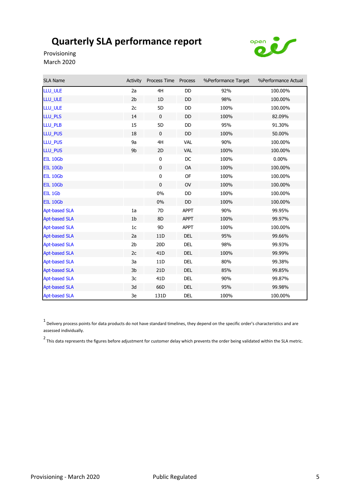

Provisioning March 2020

| <b>SLA Name</b>      | Activity       | Process Time    | Process     | %Performance Target | %Performance Actual |
|----------------------|----------------|-----------------|-------------|---------------------|---------------------|
| LLU_ULE              | 2a             | 4H              | DD          | 92%                 | 100.00%             |
| LLU_ULE              | 2 <sub>b</sub> | 1D              | DD          | 98%                 | 100.00%             |
| LLU_ULE              | 2c             | 5D              | DD          | 100%                | 100.00%             |
| LLU_PLS              | 14             | $\mathbf 0$     | DD          | 100%                | 82.09%              |
| LLU PLB              | 15             | 5D              | DD.         | 95%                 | 91.30%              |
| LLU_PUS              | 18             | $\mathbf 0$     | DD          | 100%                | 50.00%              |
| <b>LLU PUS</b>       | 9a             | 4H              | <b>VAL</b>  | 90%                 | 100.00%             |
| LLU_PUS              | 9b             | 2D              | <b>VAL</b>  | 100%                | 100.00%             |
| <b>EIL 10Gb</b>      |                | $\bf{0}$        | DC          | 100%                | $0.00\%$            |
| EIL 10Gb             |                | $\pmb{0}$       | OA          | 100%                | 100.00%             |
| EIL 10Gb             |                | $\pmb{0}$       | OF          | 100%                | 100.00%             |
| EIL 10Gb             |                | $\mathbf 0$     | <b>OV</b>   | 100%                | 100.00%             |
| EIL 1Gb              |                | 0%              | <b>DD</b>   | 100%                | 100.00%             |
| EIL 10Gb             |                | $0\%$           | DD          | 100%                | 100.00%             |
| <b>Apt-based SLA</b> | 1a             | 7D              | <b>APPT</b> | 90%                 | 99.95%              |
| <b>Apt-based SLA</b> | 1 <sub>b</sub> | 8D              | <b>APPT</b> | 100%                | 99.97%              |
| <b>Apt-based SLA</b> | 1 <sub>c</sub> | 9D              | <b>APPT</b> | 100%                | 100.00%             |
| <b>Apt-based SLA</b> | 2a             | 11D             | <b>DEL</b>  | 95%                 | 99.66%              |
| <b>Apt-based SLA</b> | 2 <sub>b</sub> | 20 <sub>D</sub> | <b>DEL</b>  | 98%                 | 99.93%              |
| <b>Apt-based SLA</b> | 2c             | 41 <sub>D</sub> | <b>DEL</b>  | 100%                | 99.99%              |
| <b>Apt-based SLA</b> | 3a             | 11D             | <b>DEL</b>  | 80%                 | 99.38%              |
| <b>Apt-based SLA</b> | 3b             | 21 <sub>D</sub> | <b>DEL</b>  | 85%                 | 99.85%              |
| <b>Apt-based SLA</b> | 3c             | 41 <sub>D</sub> | DEL         | 90%                 | 99.87%              |
| <b>Apt-based SLA</b> | 3d             | 66D             | <b>DEL</b>  | 95%                 | 99.98%              |
| <b>Apt-based SLA</b> | 3e             | 131D            | <b>DEL</b>  | 100%                | 100.00%             |

 $^1$  Delivery process points for data products do not have standard timelines, they depend on the specific order's characteristics and are assessed individually.

2 This data represents the figures before adjustment for customer delay which prevents the order being validated within the SLA metric.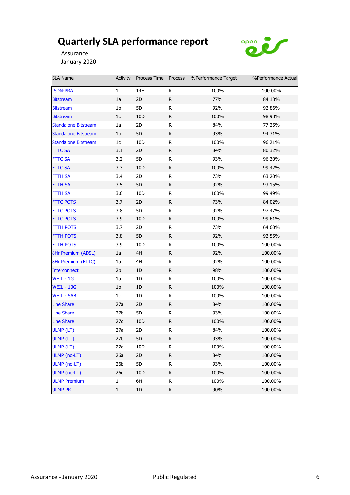

Assurance January 2020

| SLA Name                    | Activity        | Process Time Process |              | %Performance Target | %Performance Actual |
|-----------------------------|-----------------|----------------------|--------------|---------------------|---------------------|
| <b>ISDN-PRA</b>             | $\mathbf{1}$    | 14H                  | R.           | 100%                | 100.00%             |
| <b>Bitstream</b>            | 1a              | 2D                   | R            | 77%                 | 84.18%              |
| <b>Bitstream</b>            | 1b              | 5D                   | $\mathsf R$  | 92%                 | 92.86%              |
| <b>Bitstream</b>            | 1c              | 10 <sub>D</sub>      | R            | 100%                | 98.98%              |
| <b>Standalone Bitstream</b> | 1a              | 2D                   | R            | 84%                 | 77.25%              |
| <b>Standalone Bitstream</b> | 1 <sub>b</sub>  | 5D                   | R            | 93%                 | 94.31%              |
| <b>Standalone Bitstream</b> | 1c              | 10 <sub>D</sub>      | R            | 100%                | 96.21%              |
| <b>FTTC SA</b>              | 3.1             | 2D                   | R            | 84%                 | 80.32%              |
| <b>FTTC SA</b>              | 3.2             | 5D                   | R            | 93%                 | 96.30%              |
| <b>FTTC SA</b>              | 3.3             | 10D                  | $\mathsf{R}$ | 100%                | 99.42%              |
| <b>FTTH SA</b>              | 3.4             | 2D                   | R            | 73%                 | 63.20%              |
| <b>FTTH SA</b>              | 3.5             | 5D                   | R            | 92%                 | 93.15%              |
| FTTH SA                     | 3.6             | 10D                  | R            | 100%                | 99.49%              |
| <b>FTTC POTS</b>            | 3.7             | 2D                   | R            | 73%                 | 84.02%              |
| <b>FTTC POTS</b>            | 3.8             | 5D                   | R            | 92%                 | 97.47%              |
| <b>FTTC POTS</b>            | 3.9             | 10D                  | R            | 100%                | 99.61%              |
| <b>FTTH POTS</b>            | 3.7             | 2D                   | ${\sf R}$    | 73%                 | 64.60%              |
| <b>FTTH POTS</b>            | 3.8             | 5D                   | R            | 92%                 | 92.55%              |
| <b>FTTH POTS</b>            | 3.9             | 10D                  | R            | 100%                | 100.00%             |
| 8Hr Premium (ADSL)          | 1a              | 4H                   | R            | 92%                 | 100.00%             |
| 8Hr Premium (FTTC)          | 1a              | 4H                   | R            | 92%                 | 100.00%             |
| <b>Interconnect</b>         | 2 <sub>b</sub>  | 1D                   | $\mathsf{R}$ | 98%                 | 100.00%             |
| WEIL - 1G                   | 1a              | 1D                   | R            | 100%                | 100.00%             |
| <b>WEIL - 10G</b>           | 1 <sub>b</sub>  | 1D                   | R            | 100%                | 100.00%             |
| <b>WEIL - SAB</b>           | 1 <sub>c</sub>  | 1D                   | R            | 100%                | 100.00%             |
| <b>Line Share</b>           | 27a             | 2D                   | R            | 84%                 | 100.00%             |
| <b>Line Share</b>           | 27 <sub>b</sub> | 5D                   | R            | 93%                 | 100.00%             |
| <b>Line Share</b>           | 27c             | 10 <sub>D</sub>      | R            | 100%                | 100.00%             |
| ULMP (LT)                   | 27a             | 2D                   | ${\sf R}$    | 84%                 | 100.00%             |
| ULMP (LT)                   | 27 <sub>b</sub> | 5D                   | R.           | 93%                 | 100.00%             |
| ULMP (LT)                   | 27c             | 10D                  | R            | 100%                | 100.00%             |
| ULMP (no-LT)                | 26a             | 2D                   | R            | 84%                 | 100.00%             |
| ULMP (no-LT)                | 26 <sub>b</sub> | 5D                   | R            | 93%                 | 100.00%             |
| ULMP (no-LT)                | 26c             | 10 <sub>D</sub>      | R            | 100%                | 100.00%             |
| <b>ULMP Premium</b>         | 1               | 6H                   | R            | 100%                | 100.00%             |
| <b>ULMP PR</b>              | $\mathbf 1$     | 1D                   | R            | 90%                 | 100.00%             |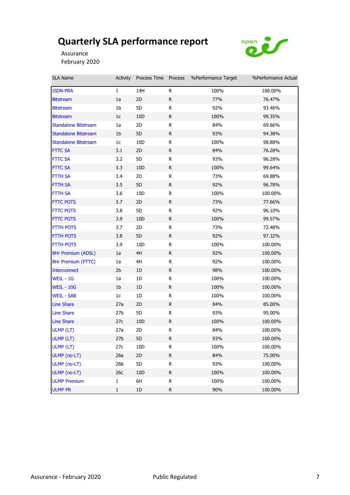

Assurance February 2020

| SLA Name                    | Activity        | Process Time Process |              | %Performance Target | %Performance Actual |
|-----------------------------|-----------------|----------------------|--------------|---------------------|---------------------|
| <b>ISDN-PRA</b>             | $\mathbf{1}$    | 14H                  | R            | 100%                | 100.00%             |
| <b>Bitstream</b>            | 1a              | 2D                   | R            | 77%                 | 76.47%              |
| <b>Bitstream</b>            | 1b              | 5D                   | R            | 92%                 | 93.46%              |
| <b>Bitstream</b>            | 1c              | 10 <sub>D</sub>      | R            | 100%                | 99.35%              |
| <b>Standalone Bitstream</b> | 1a              | 2D                   | R            | 84%                 | 69.66%              |
| <b>Standalone Bitstream</b> | 1 <sub>b</sub>  | 5D                   | R            | 93%                 | 94.38%              |
| <b>Standalone Bitstream</b> | 1 <sub>c</sub>  | 10 <sub>D</sub>      | R            | 100%                | 98.88%              |
| <b>FTTC SA</b>              | 3.1             | 2D                   | R            | 84%                 | 76.28%              |
| <b>FTTC SA</b>              | 3.2             | 5D                   | R            | 93%                 | 96.28%              |
| <b>FTTC SA</b>              | 3.3             | 10D                  | R            | 100%                | 99.64%              |
| <b>FTTH SA</b>              | 3.4             | 2D                   | R            | 73%                 | 69.88%              |
| <b>FTTH SA</b>              | 3.5             | 5D                   | R            | 92%                 | 96.78%              |
| FTTH SA                     | 3.6             | 10D                  | R            | 100%                | 100.00%             |
| <b>FTTC POTS</b>            | 3.7             | 2D                   | $\mathsf{R}$ | 73%                 | 77.66%              |
| <b>FTTC POTS</b>            | 3.8             | 5D                   | R            | 92%                 | 96.10%              |
| <b>FTTC POTS</b>            | 3.9             | 10D                  | R            | 100%                | 99.57%              |
| <b>FTTH POTS</b>            | 3.7             | 2D                   | R            | 73%                 | 72.48%              |
| <b>FTTH POTS</b>            | 3.8             | 5D                   | R            | 92%                 | 97.32%              |
| <b>FTTH POTS</b>            | 3.9             | 10D                  | R            | 100%                | 100.00%             |
| 8Hr Premium (ADSL)          | 1a              | 4H                   | R            | 92%                 | 100.00%             |
| 8Hr Premium (FTTC)          | 1a              | 4H                   | R            | 92%                 | 100.00%             |
| <b>Interconnect</b>         | 2 <sub>b</sub>  | 1D                   | $\mathsf R$  | 98%                 | 100.00%             |
| WEIL - 1G                   | 1a              | 1D                   | R            | 100%                | 100.00%             |
| <b>WEIL - 10G</b>           | 1 <sub>b</sub>  | 1D                   | R            | 100%                | 100.00%             |
| <b>WEIL - SAB</b>           | 1 <sub>c</sub>  | 1D                   | R            | 100%                | 100.00%             |
| <b>Line Share</b>           | 27a             | 2D                   | R            | 84%                 | 85.00%              |
| <b>Line Share</b>           | 27 <sub>b</sub> | 5D                   | R            | 93%                 | 95.00%              |
| <b>Line Share</b>           | 27c             | 10 <sub>D</sub>      | R            | 100%                | 100.00%             |
| ULMP (LT)                   | 27a             | 2D                   | ${\sf R}$    | 84%                 | 100.00%             |
| ULMP (LT)                   | 27 <sub>b</sub> | 5D                   | R.           | 93%                 | 100.00%             |
| ULMP (LT)                   | 27c             | 10D                  | R            | 100%                | 100.00%             |
| ULMP (no-LT)                | 26a             | 2D                   | R            | 84%                 | 75.00%              |
| ULMP (no-LT)                | 26 <sub>b</sub> | 5D                   | R            | 93%                 | 100.00%             |
| ULMP (no-LT)                | 26c             | 10D                  | R            | 100%                | 100.00%             |
| <b>ULMP Premium</b>         | $\mathbf{1}$    | 6H                   | R            | 100%                | 100.00%             |
| <b>ULMP PR</b>              | $\mathbf 1$     | 1D                   | R            | 90%                 | 100.00%             |